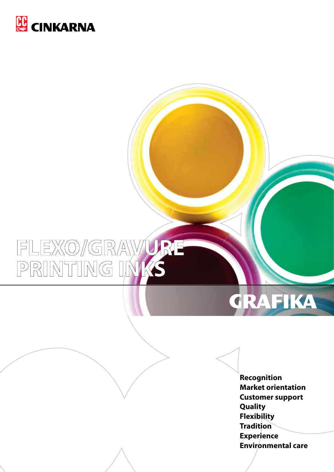

# FLEXO/GRAVURE<br>PRINTING INKS



**Recognition Market orientation Customer support Quality Flexibility Tradition Experience Environmental care**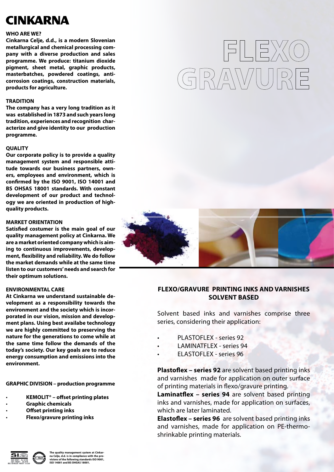### **CINKARNA**

#### **WHO ARE WE?**

**Cinkarna Celje, d.d., is a modern Slovenian metallurgical and chemical processing company with a diverse production and sales programme. We produce: titanium dioxide pigment, sheet metal, graphic products, masterbatches, powdered coatings, anticorrosion coatings, construction materials, products for agriculture.**

#### **TRADITION**

**The company has a very long tradition as it was established in 1873 and such years long tradition, experiences and recognition characterize and give identity to our production programme.** 

#### **QUALITY**

**Our corporate policy is to provide a quality management system and responsible attitude towards our business partners, owners, employees and environment, which is confirmed by the ISO 9001, ISO 14001 and BS OHSAS 18001 standards. With constant development of our product and technology we are oriented in production of highquality products.**

#### **MARKET ORIENTATION**

**Satisfied costumer is the main goal of our quality management policy at Cinkarna. We are a market oriented company which is aiming to continuous improvements, development, flexibility and reliability. We do follow the market demands while at the same time listen to our customers' needs and search for their optimum solutions.**

#### **ENVIRONMENTAL CARE**

**At Cinkarna we understand sustainable development as a responsibility towards the environment and the society which is incorporated in our vision, mission and development plans. Using best availabe technology we are highly committed to preserving the nature for the generations to come while at the same time follow the demands of the today's society. Our key goals are to reduce energy consumption and emissions into the environment.**

**GRAPHIC DIVISION – production programme**

- **KEMOLIT® offset printing plates**
- **Graphic chemicals**
- **Offset printing inks**
- **Flexo/gravure printing inks**



FLEXO

GRAWURE

#### **FLEXO/GRAVURE PRINTING INKS AND VARNISHES SOLVENT BASED**

Solvent based inks and varnishes comprise three series, considering their application:

- PLASTOFLEX series 92
- **LAMINATFLEX series 94**
- **ELASTOFLEX series 96**

**Plastoflex – series 92** are solvent based printing inks and varnishes made for application on outer surface of printing materials in flexo/gravure printing.

**Laminatflex – series 94** are solvent based printing inks and varnishes, made for application on surfaces, which are later laminated.

**Elastoflex – series 96** are solvent based printing inks and varnishes, made for application on PE-thermoshrinkable printing materials.



**The quality management system at Cinkar-na Celje, d.d. is in compliance with the pro-visions of the following standards ISO 9001, ISO 14001 and BS OHSAS 18001.**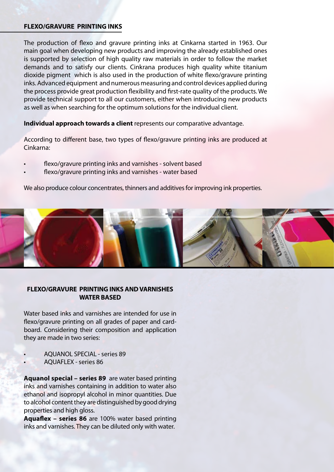#### **FLEXO/GRAVURE PRINTING INKS**

The production of flexo and gravure printing inks at Cinkarna started in 1963. Our main goal when developing new products and improving the already established ones is supported by selection of high quality raw materials in order to follow the market demands and to satisfy our clients. Cinkrana produces high quality white titanium dioxide pigment which is also used in the production of white flexo/gravure printing inks. Advanced equipment and numerous measuring and control devices applied during the process provide great production flexibility and first-rate quality of the products. We provide technical support to all our customers, either when introducing new products as well as when searching for the optimum solutions for the individual client.

**Individual approach towards a client** represents our comparative advantage.

According to different base, two types of flexo/gravure printing inks are produced at Cinkarna:

- flexo/gravure printing inks and varnishes solvent based
- flexo/gravure printing inks and varnishes water based

We also produce colour concentrates, thinners and additives for improving ink properties.



#### **FLEXO/GRAVURE PRINTING INKS AND VARNISHES WATER BASED**

Water based inks and varnishes are intended for use in flexo/gravure printing on all grades of paper and cardboard. Considering their composition and application they are made in two series:

- AOUANOL SPECIAL series 89
- AQUAFLEX series 86

**Aquanol special – series 89** are water based printing inks and varnishes containing in addition to water also ethanol and isopropyl alcohol in minor quantities. Due to alcohol content they are distinguished by good drying properties and high gloss.

**Aquaflex – series 86** are 100% water based printing inks and varnishes. They can be diluted only with water.